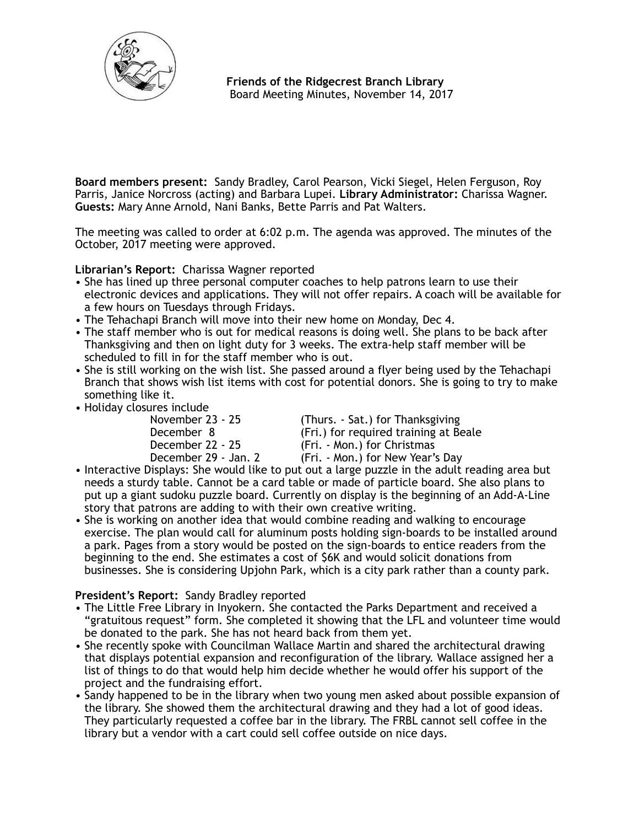

**Board members present:** Sandy Bradley, Carol Pearson, Vicki Siegel, Helen Ferguson, Roy Parris, Janice Norcross (acting) and Barbara Lupei. **Library Administrator:** Charissa Wagner. **Guests:** Mary Anne Arnold, Nani Banks, Bette Parris and Pat Walters.

The meeting was called to order at 6:02 p.m. The agenda was approved. The minutes of the October, 2017 meeting were approved.

**Librarian's Report:** Charissa Wagner reported

- She has lined up three personal computer coaches to help patrons learn to use their electronic devices and applications. They will not offer repairs. A coach will be available for a few hours on Tuesdays through Fridays.
- The Tehachapi Branch will move into their new home on Monday, Dec 4.
- The staff member who is out for medical reasons is doing well. She plans to be back after Thanksgiving and then on light duty for 3 weeks. The extra-help staff member will be scheduled to fill in for the staff member who is out.
- She is still working on the wish list. She passed around a flyer being used by the Tehachapi Branch that shows wish list items with cost for potential donors. She is going to try to make something like it.
- Holiday closures include

November 23 - 25 (Thurs. - Sat.) for Thanksgiving<br>December 8 (Fri.) for required training at Be December 8 (Fri.) for required training at Beale<br>December 22 - 25 (Fri. - Mon.) for Christmas December 22 - 25 (Fri. - Mon.) for Christmas<br>December 29 - Jan. 2 (Fri. - Mon.) for New Year's (Fri. - Mon.) for New Year's Day

- Interactive Displays: She would like to put out a large puzzle in the adult reading area but needs a sturdy table. Cannot be a card table or made of particle board. She also plans to put up a giant sudoku puzzle board. Currently on display is the beginning of an Add-A-Line story that patrons are adding to with their own creative writing.
- She is working on another idea that would combine reading and walking to encourage exercise. The plan would call for aluminum posts holding sign-boards to be installed around a park. Pages from a story would be posted on the sign-boards to entice readers from the beginning to the end. She estimates a cost of \$6K and would solicit donations from businesses. She is considering Upjohn Park, which is a city park rather than a county park.

## **President's Report:** Sandy Bradley reported

- The Little Free Library in Inyokern. She contacted the Parks Department and received a "gratuitous request" form. She completed it showing that the LFL and volunteer time would be donated to the park. She has not heard back from them yet.
- She recently spoke with Councilman Wallace Martin and shared the architectural drawing that displays potential expansion and reconfiguration of the library. Wallace assigned her a list of things to do that would help him decide whether he would offer his support of the project and the fundraising effort.
- Sandy happened to be in the library when two young men asked about possible expansion of the library. She showed them the architectural drawing and they had a lot of good ideas. They particularly requested a coffee bar in the library. The FRBL cannot sell coffee in the library but a vendor with a cart could sell coffee outside on nice days.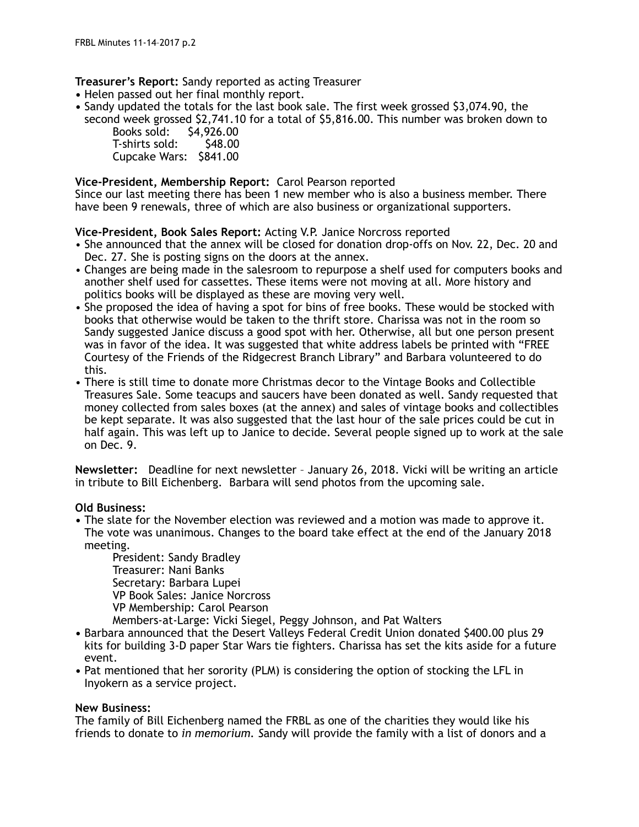**Treasurer's Report:** Sandy reported as acting Treasurer

- **•** Helen passed out her final monthly report.
- **•** Sandy updated the totals for the last book sale. The first week grossed \$3,074.90, the second week grossed \$2,741.10 for a total of \$5,816.00. This number was broken down to

 Books sold: \$4,926.00 T-shirts sold: Cupcake Wars: \$841.00

# **Vice-President, Membership Report:** Carol Pearson reported

Since our last meeting there has been 1 new member who is also a business member. There have been 9 renewals, three of which are also business or organizational supporters.

## **Vice-President, Book Sales Report:** Acting V.P. Janice Norcross reported

- She announced that the annex will be closed for donation drop-offs on Nov. 22, Dec. 20 and Dec. 27. She is posting signs on the doors at the annex.
- Changes are being made in the salesroom to repurpose a shelf used for computers books and another shelf used for cassettes. These items were not moving at all. More history and politics books will be displayed as these are moving very well.
- She proposed the idea of having a spot for bins of free books. These would be stocked with books that otherwise would be taken to the thrift store. Charissa was not in the room so Sandy suggested Janice discuss a good spot with her. Otherwise, all but one person present was in favor of the idea. It was suggested that white address labels be printed with "FREE Courtesy of the Friends of the Ridgecrest Branch Library" and Barbara volunteered to do this.
- There is still time to donate more Christmas decor to the Vintage Books and Collectible Treasures Sale. Some teacups and saucers have been donated as well. Sandy requested that money collected from sales boxes (at the annex) and sales of vintage books and collectibles be kept separate. It was also suggested that the last hour of the sale prices could be cut in half again. This was left up to Janice to decide. Several people signed up to work at the sale on Dec. 9.

**Newsletter:** Deadline for next newsletter – January 26, 2018. Vicki will be writing an article in tribute to Bill Eichenberg. Barbara will send photos from the upcoming sale.

## **Old Business:**

**•** The slate for the November election was reviewed and a motion was made to approve it. The vote was unanimous. Changes to the board take effect at the end of the January 2018 meeting.

 President: Sandy Bradley Treasurer: Nani Banks Secretary: Barbara Lupei VP Book Sales: Janice Norcross VP Membership: Carol Pearson

Members-at-Large: Vicki Siegel, Peggy Johnson, and Pat Walters

- **•** Barbara announced that the Desert Valleys Federal Credit Union donated \$400.00 plus 29 kits for building 3-D paper Star Wars tie fighters. Charissa has set the kits aside for a future event.
- **•** Pat mentioned that her sorority (PLM) is considering the option of stocking the LFL in Inyokern as a service project.

## **New Business:**

The family of Bill Eichenberg named the FRBL as one of the charities they would like his friends to donate to *in memorium. S*andy will provide the family with a list of donors and a